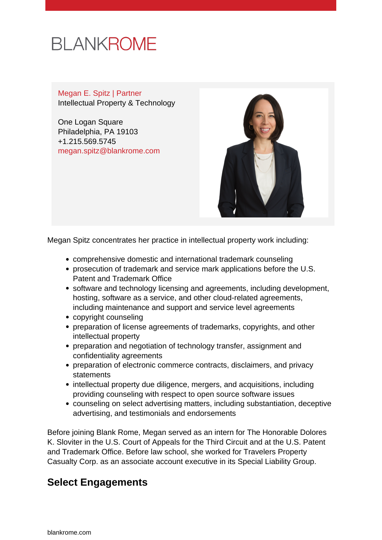# **BLANKROME**

Megan E. Spitz | Partner Intellectual Property & Technology

One Logan Square Philadelphia, PA 19103 +1.215.569.5745 [megan.spitz@blankrome.com](mailto:megan.spitz@blankrome.com)



Megan Spitz concentrates her practice in intellectual property work including:

- comprehensive domestic and international trademark counseling
- prosecution of trademark and service mark applications before the U.S. Patent and Trademark Office
- software and technology licensing and agreements, including development, hosting, software as a service, and other cloud-related agreements, including maintenance and support and service level agreements
- copyright counseling
- preparation of license agreements of trademarks, copyrights, and other intellectual property
- preparation and negotiation of technology transfer, assignment and confidentiality agreements
- preparation of electronic commerce contracts, disclaimers, and privacy **statements**
- intellectual property due diligence, mergers, and acquisitions, including providing counseling with respect to open source software issues
- counseling on select advertising matters, including substantiation, deceptive advertising, and testimonials and endorsements

Before joining Blank Rome, Megan served as an intern for The Honorable Dolores K. Sloviter in the U.S. Court of Appeals for the Third Circuit and at the U.S. Patent and Trademark Office. Before law school, she worked for Travelers Property Casualty Corp. as an associate account executive in its Special Liability Group.

## **Select Engagements**